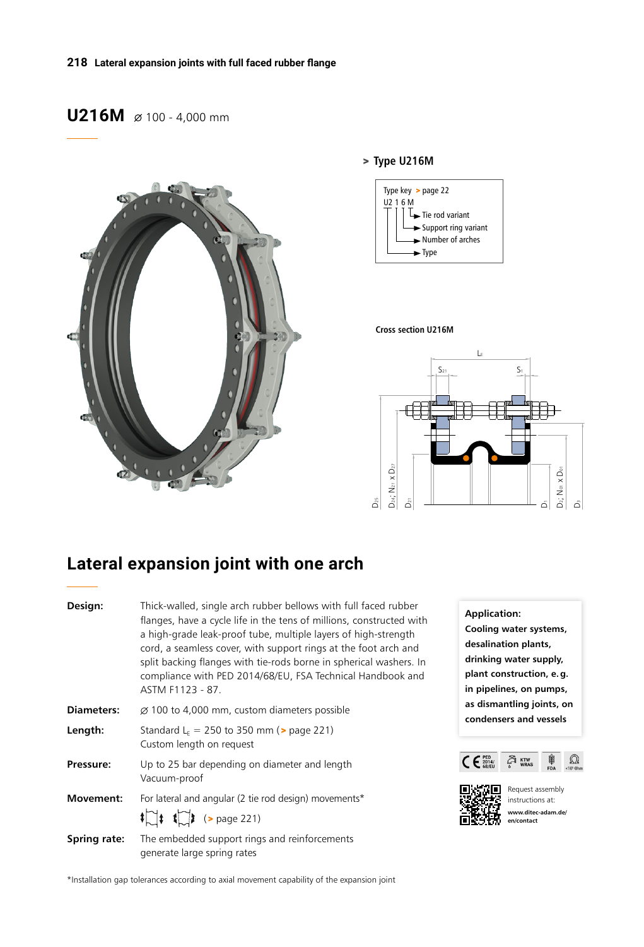# **U216M**  $\emptyset$  100 - 4,000 mm



### > **Type U216M**



#### **Cross section U216M**



## **Lateral expansion joint with one arch**

| Design:           | Thick-walled, single arch rubber bellows with full faced rubber<br>flanges, have a cycle life in the tens of millions, constructed with<br>a high-grade leak-proof tube, multiple layers of high-strength<br>cord, a seamless cover, with support rings at the foot arch and<br>split backing flanges with tie-rods borne in spherical washers. In<br>compliance with PED 2014/68/EU, FSA Technical Handbook and<br>ASTM F1123 - 87. |  |  |  |  |  |  |  |
|-------------------|--------------------------------------------------------------------------------------------------------------------------------------------------------------------------------------------------------------------------------------------------------------------------------------------------------------------------------------------------------------------------------------------------------------------------------------|--|--|--|--|--|--|--|
| <b>Diameters:</b> | $\varnothing$ 100 to 4,000 mm, custom diameters possible                                                                                                                                                                                                                                                                                                                                                                             |  |  |  |  |  |  |  |
| Length:           | Standard $L_F = 250$ to 350 mm ( $>$ page 221)<br>Custom length on request                                                                                                                                                                                                                                                                                                                                                           |  |  |  |  |  |  |  |
| Pressure:         | Up to 25 bar depending on diameter and length<br>Vacuum-proof                                                                                                                                                                                                                                                                                                                                                                        |  |  |  |  |  |  |  |
| <b>Movement:</b>  | For lateral and angular (2 tie rod design) movements*<br>$\lim_{x \to 0}$ (> page 221)                                                                                                                                                                                                                                                                                                                                               |  |  |  |  |  |  |  |
| Spring rate:      | The embedded support rings and reinforcements<br>generate large spring rates                                                                                                                                                                                                                                                                                                                                                         |  |  |  |  |  |  |  |

**Application: Cooling water systems, desalination plants, drinking water supply, plant construction, e.g. in pipelines, on pumps, as dismantling joints, on condensers and vessels**





Request assembly instructions at: **www.ditec-adam.de/ en/contact**

\*Installation gap tolerances according to axial movement capability of the expansion joint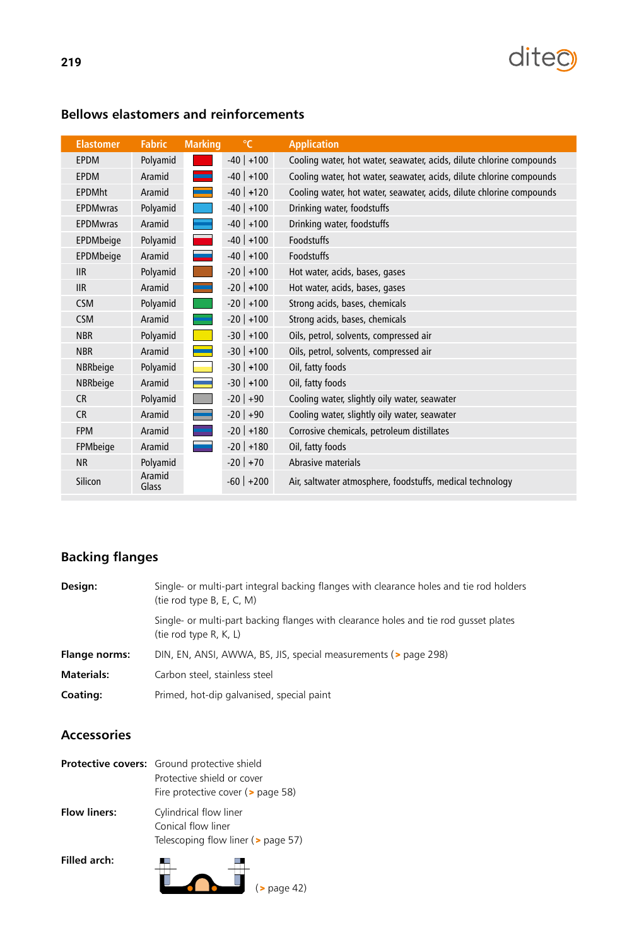

| <b>Elastomer</b> | <b>Fabric</b>   | <b>Marking</b> | $\mathrm{C}$   | <b>Application</b>                                                   |
|------------------|-----------------|----------------|----------------|----------------------------------------------------------------------|
| <b>EPDM</b>      | Polyamid        |                | $-40$ +100     | Cooling water, hot water, seawater, acids, dilute chlorine compounds |
| <b>EPDM</b>      | Aramid          |                | $-40$ +100     | Cooling water, hot water, seawater, acids, dilute chlorine compounds |
| <b>EPDMht</b>    | Aramid          |                | $-40$ +120     | Cooling water, hot water, seawater, acids, dilute chlorine compounds |
| <b>EPDMwras</b>  | Polyamid        |                | $-40$ +100     | Drinking water, foodstuffs                                           |
| <b>EPDMwras</b>  | Aramid          |                | $-40$ +100     | Drinking water, foodstuffs                                           |
| EPDMbeige        | Polyamid        | $\sim 10$      | $-40$ +100     | Foodstuffs                                                           |
| EPDMbeige        | Aramid          |                | $-40$ +100     | Foodstuffs                                                           |
| <b>IIR</b>       | Polyamid        |                | $-20$ +100     | Hot water, acids, bases, gases                                       |
| <b>IIR</b>       | Aramid          |                | $-20$   $+100$ | Hot water, acids, bases, gases                                       |
| <b>CSM</b>       | Polyamid        |                | $-20$   $+100$ | Strong acids, bases, chemicals                                       |
| <b>CSM</b>       | Aramid          |                | $-20$ +100     | Strong acids, bases, chemicals                                       |
| <b>NBR</b>       | Polyamid        |                | $-30$   $+100$ | Oils, petrol, solvents, compressed air                               |
| <b>NBR</b>       | Aramid          |                | $-30$ +100     | Oils, petrol, solvents, compressed air                               |
| NBRbeige         | Polyamid        |                | $-30$ +100     | Oil, fatty foods                                                     |
| NBRbeige         | Aramid          |                | $-30$ +100     | Oil, fatty foods                                                     |
| <b>CR</b>        | Polyamid        |                | $-20$ +90      | Cooling water, slightly oily water, seawater                         |
| <b>CR</b>        | Aramid          |                | $-20$ +90      | Cooling water, slightly oily water, seawater                         |
| <b>FPM</b>       | Aramid          |                | $-20$   $+180$ | Corrosive chemicals, petroleum distillates                           |
| FPMbeige         | Aramid          |                | $-20$   $+180$ | Oil, fatty foods                                                     |
| <b>NR</b>        | Polyamid        |                | $-20$ +70      | Abrasive materials                                                   |
| Silicon          | Aramid<br>Glass |                | $-60$ +200     | Air, saltwater atmosphere, foodstuffs, medical technology            |

## **Bellows elastomers and reinforcements**

## **Backing flanges**

| Design:           | Single- or multi-part integral backing flanges with clearance holes and tie rod holders<br>(tie rod type B, E, C, M) |  |  |  |  |  |  |  |
|-------------------|----------------------------------------------------------------------------------------------------------------------|--|--|--|--|--|--|--|
|                   | Single- or multi-part backing flanges with clearance holes and tie rod gusset plates<br>(tie rod type $R, K, L$ )    |  |  |  |  |  |  |  |
| Flange norms:     | DIN, EN, ANSI, AWWA, BS, JIS, special measurements (> page 298)                                                      |  |  |  |  |  |  |  |
| <b>Materials:</b> | Carbon steel, stainless steel                                                                                        |  |  |  |  |  |  |  |
| <b>Coating:</b>   | Primed, hot-dip galvanised, special paint                                                                            |  |  |  |  |  |  |  |

## **Accessories**

|                     | Protective covers: Ground protective shield<br>Protective shield or cover<br>Fire protective cover ( $>$ page 58) |  |  |  |  |  |  |
|---------------------|-------------------------------------------------------------------------------------------------------------------|--|--|--|--|--|--|
| <b>Flow liners:</b> | Cylindrical flow liner<br>Conical flow liner<br>Telescoping flow liner (> page 57)                                |  |  |  |  |  |  |
| Filled arch:        | page 42)                                                                                                          |  |  |  |  |  |  |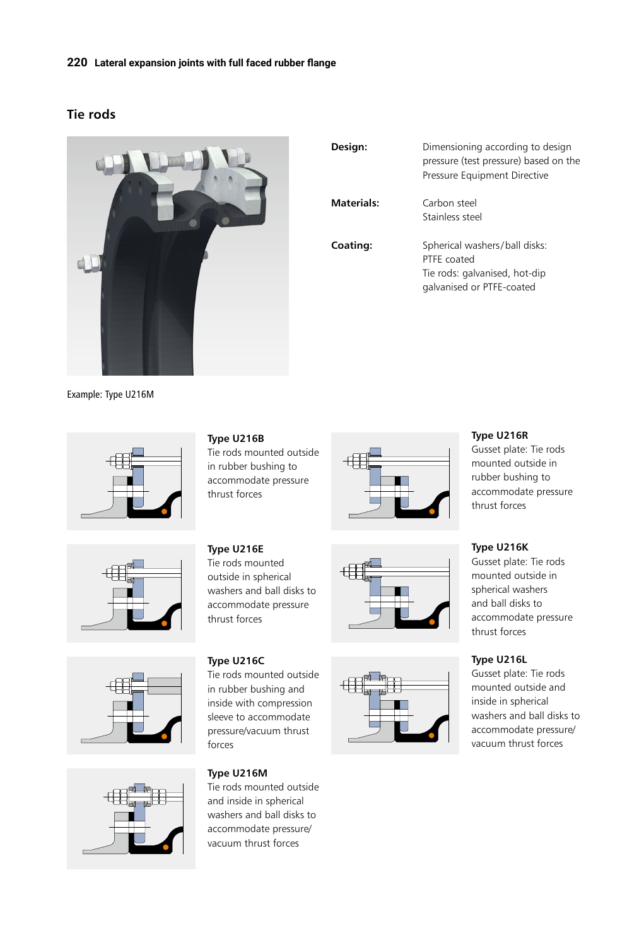#### **220 Lateral expansion joints with full faced rubber flange**

### **Tie rods**



| Design:           | Dimensioning according to design<br>pressure (test pressure) based on the<br>Pressure Equipment Directive  |
|-------------------|------------------------------------------------------------------------------------------------------------|
| <b>Materials:</b> | Carbon steel<br>Stainless steel                                                                            |
| Coating:          | Spherical washers/ball disks:<br>PTFF coated<br>Tie rods: galvanised, hot-dip<br>galvanised or PTFE-coated |

Example: Type U216M









**Type U216B**

Tie rods mounted outside in rubber bushing to accommodate pressure thrust forces

**Type U216E** Tie rods mounted outside in spherical washers and ball disks to accommodate pressure thrust forces

#### **Type U216C**

Tie rods mounted outside in rubber bushing and inside with compression sleeve to accommodate pressure/vacuum thrust forces

# **Type U216M** Tie rods mounted outside

and inside in spherical washers and ball disks to accommodate pressure/ vacuum thrust forces







### **Type U216R**

Gusset plate: Tie rods mounted outside in rubber bushing to accommodate pressure thrust forces

## **Type U216K**

Gusset plate: Tie rods mounted outside in spherical washers and ball disks to accommodate pressure thrust forces

### **Type U216L**

Gusset plate: Tie rods mounted outside and inside in spherical washers and ball disks to accommodate pressure/ vacuum thrust forces